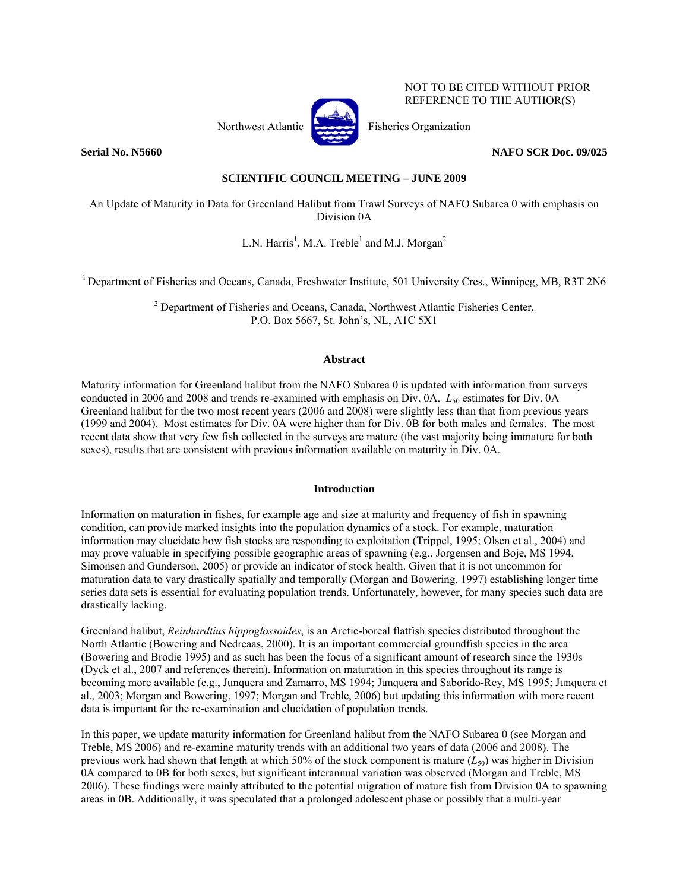

NOT TO BE CITED WITHOUT PRIOR REFERENCE TO THE AUTHOR(S)

**Serial No. N5660 NAFO SCR Doc. 09/025** 

# **SCIENTIFIC COUNCIL MEETING – JUNE 2009**

An Update of Maturity in Data for Greenland Halibut from Trawl Surveys of NAFO Subarea 0 with emphasis on Division 0A

L.N. Harris<sup>1</sup>, M.A. Treble<sup>1</sup> and M.J. Morgan<sup>2</sup>

<sup>1</sup> Department of Fisheries and Oceans, Canada, Freshwater Institute, 501 University Cres., Winnipeg, MB, R3T 2N6

 $2^{2}$  Department of Fisheries and Oceans, Canada, Northwest Atlantic Fisheries Center, P.O. Box 5667, St. John's, NL, A1C 5X1

## **Abstract**

Maturity information for Greenland halibut from the NAFO Subarea 0 is updated with information from surveys conducted in 2006 and 2008 and trends re-examined with emphasis on Div. 0A. *L*<sub>50</sub> estimates for Div. 0A Greenland halibut for the two most recent years (2006 and 2008) were slightly less than that from previous years (1999 and 2004). Most estimates for Div. 0A were higher than for Div. 0B for both males and females. The most recent data show that very few fish collected in the surveys are mature (the vast majority being immature for both sexes), results that are consistent with previous information available on maturity in Div. 0A.

## **Introduction**

Information on maturation in fishes, for example age and size at maturity and frequency of fish in spawning condition, can provide marked insights into the population dynamics of a stock. For example, maturation information may elucidate how fish stocks are responding to exploitation (Trippel, 1995; Olsen et al., 2004) and may prove valuable in specifying possible geographic areas of spawning (e.g., Jorgensen and Boje, MS 1994, Simonsen and Gunderson, 2005) or provide an indicator of stock health. Given that it is not uncommon for maturation data to vary drastically spatially and temporally (Morgan and Bowering, 1997) establishing longer time series data sets is essential for evaluating population trends. Unfortunately, however, for many species such data are drastically lacking.

Greenland halibut, *Reinhardtius hippoglossoides*, is an Arctic-boreal flatfish species distributed throughout the North Atlantic (Bowering and Nedreaas, 2000). It is an important commercial groundfish species in the area (Bowering and Brodie 1995) and as such has been the focus of a significant amount of research since the 1930s (Dyck et al., 2007 and references therein). Information on maturation in this species throughout its range is becoming more available (e.g., Junquera and Zamarro, MS 1994; Junquera and Saborido-Rey, MS 1995; Junquera et al., 2003; Morgan and Bowering, 1997; Morgan and Treble, 2006) but updating this information with more recent data is important for the re-examination and elucidation of population trends.

In this paper, we update maturity information for Greenland halibut from the NAFO Subarea 0 (see Morgan and Treble, MS 2006) and re-examine maturity trends with an additional two years of data (2006 and 2008). The previous work had shown that length at which 50% of the stock component is mature  $(L_{50})$  was higher in Division 0A compared to 0B for both sexes, but significant interannual variation was observed (Morgan and Treble, MS 2006). These findings were mainly attributed to the potential migration of mature fish from Division 0A to spawning areas in 0B. Additionally, it was speculated that a prolonged adolescent phase or possibly that a multi-year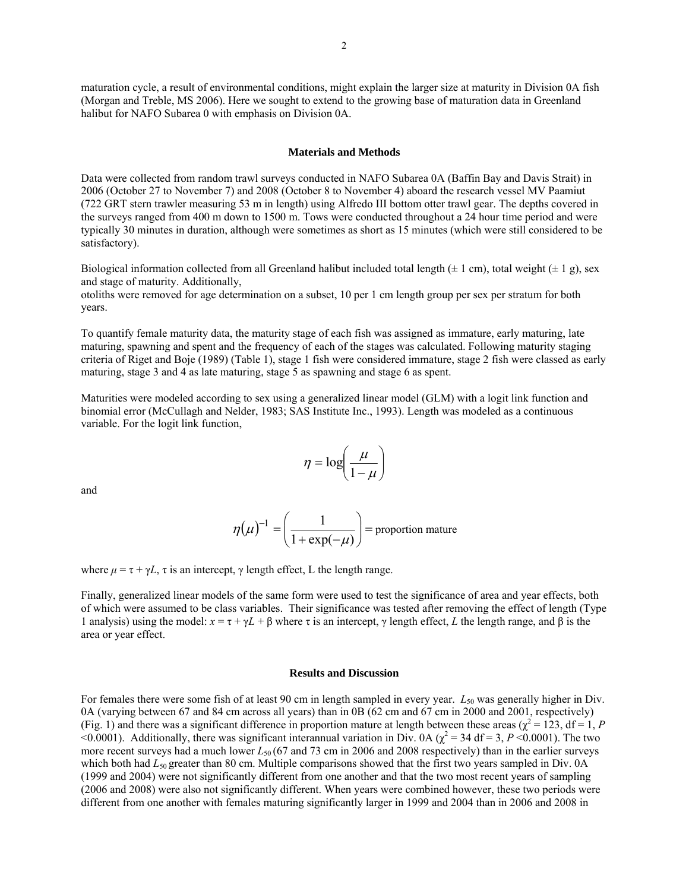maturation cycle, a result of environmental conditions, might explain the larger size at maturity in Division 0A fish (Morgan and Treble, MS 2006). Here we sought to extend to the growing base of maturation data in Greenland halibut for NAFO Subarea 0 with emphasis on Division 0A.

#### **Materials and Methods**

Data were collected from random trawl surveys conducted in NAFO Subarea 0A (Baffin Bay and Davis Strait) in 2006 (October 27 to November 7) and 2008 (October 8 to November 4) aboard the research vessel MV Paamiut (722 GRT stern trawler measuring 53 m in length) using Alfredo III bottom otter trawl gear. The depths covered in the surveys ranged from 400 m down to 1500 m. Tows were conducted throughout a 24 hour time period and were typically 30 minutes in duration, although were sometimes as short as 15 minutes (which were still considered to be satisfactory).

Biological information collected from all Greenland halibut included total length  $(\pm 1 \text{ cm})$ , total weight  $(\pm 1 \text{ g})$ , sex and stage of maturity. Additionally,

otoliths were removed for age determination on a subset, 10 per 1 cm length group per sex per stratum for both years.

To quantify female maturity data, the maturity stage of each fish was assigned as immature, early maturing, late maturing, spawning and spent and the frequency of each of the stages was calculated. Following maturity staging criteria of Riget and Boje (1989) (Table 1), stage 1 fish were considered immature, stage 2 fish were classed as early maturing, stage 3 and 4 as late maturing, stage 5 as spawning and stage 6 as spent.

Maturities were modeled according to sex using a generalized linear model (GLM) with a logit link function and binomial error (McCullagh and Nelder, 1983; SAS Institute Inc., 1993). Length was modeled as a continuous variable. For the logit link function,

$$
\eta = \log\left(\frac{\mu}{1-\mu}\right)
$$

and

$$
\eta(\mu)^{-1} = \left(\frac{1}{1 + \exp(-\mu)}\right) = \text{proportion mature}
$$

where  $\mu = \tau + \gamma L$ ,  $\tau$  is an intercept,  $\gamma$  length effect, L the length range.

Finally, generalized linear models of the same form were used to test the significance of area and year effects, both of which were assumed to be class variables. Their significance was tested after removing the effect of length (Type 1 analysis) using the model: *x* = τ + γ*L* + β where τ is an intercept, γ length effect, *L* the length range, and β is the area or year effect.

### **Results and Discussion**

For females there were some fish of at least 90 cm in length sampled in every year. L<sub>50</sub> was generally higher in Div. 0A (varying between 67 and 84 cm across all years) than in 0B (62 cm and 67 cm in 2000 and 2001, respectively) (Fig. 1) and there was a significant difference in proportion mature at length between these areas ( $\chi^2 = 123$ , df = 1, *P*  $\leq$  0.0001). Additionally, there was significant interannual variation in Div. 0A ( $\chi^2$  = 34 df = 3, *P* < 0.0001). The two more recent surveys had a much lower *L*<sub>50</sub> (67 and 73 cm in 2006 and 2008 respectively) than in the earlier surveys which both had *L*<sub>50</sub> greater than 80 cm. Multiple comparisons showed that the first two years sampled in Div. 0A (1999 and 2004) were not significantly different from one another and that the two most recent years of sampling (2006 and 2008) were also not significantly different. When years were combined however, these two periods were different from one another with females maturing significantly larger in 1999 and 2004 than in 2006 and 2008 in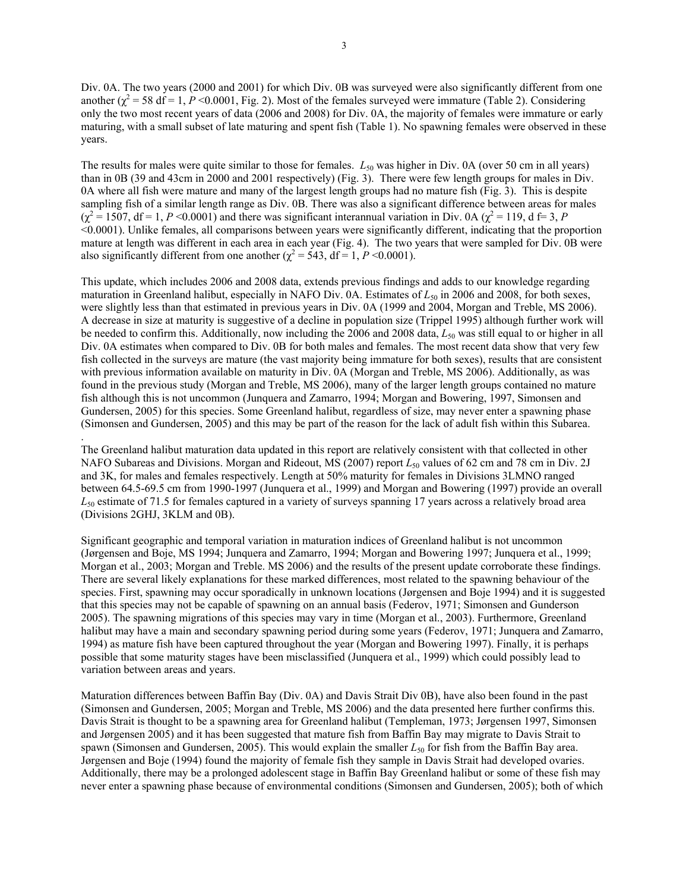Div. 0A. The two years (2000 and 2001) for which Div. 0B was surveyed were also significantly different from one another ( $\chi^2$  = 58 df = 1, *P* <0.0001, Fig. 2). Most of the females surveyed were immature (Table 2). Considering only the two most recent years of data (2006 and 2008) for Div. 0A, the majority of females were immature or early maturing, with a small subset of late maturing and spent fish (Table 1). No spawning females were observed in these years.

The results for males were quite similar to those for females. *L*<sub>50</sub> was higher in Div. 0A (over 50 cm in all years) than in 0B (39 and 43cm in 2000 and 2001 respectively) (Fig. 3). There were few length groups for males in Div. 0A where all fish were mature and many of the largest length groups had no mature fish (Fig. 3). This is despite sampling fish of a similar length range as Div. 0B. There was also a significant difference between areas for males  $(\chi^2 = 1507, df = 1, P < 0.0001)$  and there was significant interannual variation in Div. 0A  $(\chi^2 = 119, d \equiv 3, P)$ <0.0001). Unlike females, all comparisons between years were significantly different, indicating that the proportion mature at length was different in each area in each year (Fig. 4). The two years that were sampled for Div. 0B were also significantly different from one another ( $\chi^2$  = 543, df = 1, *P* <0.0001).

This update, which includes 2006 and 2008 data, extends previous findings and adds to our knowledge regarding maturation in Greenland halibut, especially in NAFO Div. 0A. Estimates of  $L_{50}$  in 2006 and 2008, for both sexes, were slightly less than that estimated in previous years in Div. 0A (1999 and 2004, Morgan and Treble, MS 2006). A decrease in size at maturity is suggestive of a decline in population size (Trippel 1995) although further work will be needed to confirm this. Additionally, now including the 2006 and 2008 data, *L*50 was still equal to or higher in all Div. 0A estimates when compared to Div. 0B for both males and females. The most recent data show that very few fish collected in the surveys are mature (the vast majority being immature for both sexes), results that are consistent with previous information available on maturity in Div. 0A (Morgan and Treble, MS 2006). Additionally, as was found in the previous study (Morgan and Treble, MS 2006), many of the larger length groups contained no mature fish although this is not uncommon (Junquera and Zamarro, 1994; Morgan and Bowering, 1997, Simonsen and Gundersen, 2005) for this species. Some Greenland halibut, regardless of size, may never enter a spawning phase (Simonsen and Gundersen, 2005) and this may be part of the reason for the lack of adult fish within this Subarea.

The Greenland halibut maturation data updated in this report are relatively consistent with that collected in other NAFO Subareas and Divisions. Morgan and Rideout, MS (2007) report  $L_{50}$  values of 62 cm and 78 cm in Div. 2J and 3K, for males and females respectively. Length at 50% maturity for females in Divisions 3LMNO ranged between 64.5-69.5 cm from 1990-1997 (Junquera et al., 1999) and Morgan and Bowering (1997) provide an overall *L*50 estimate of 71.5 for females captured in a variety of surveys spanning 17 years across a relatively broad area (Divisions 2GHJ, 3KLM and 0B).

.

Significant geographic and temporal variation in maturation indices of Greenland halibut is not uncommon (Jørgensen and Boje, MS 1994; Junquera and Zamarro, 1994; Morgan and Bowering 1997; Junquera et al., 1999; Morgan et al., 2003; Morgan and Treble. MS 2006) and the results of the present update corroborate these findings. There are several likely explanations for these marked differences, most related to the spawning behaviour of the species. First, spawning may occur sporadically in unknown locations (Jørgensen and Boje 1994) and it is suggested that this species may not be capable of spawning on an annual basis (Federov, 1971; Simonsen and Gunderson 2005). The spawning migrations of this species may vary in time (Morgan et al., 2003). Furthermore, Greenland halibut may have a main and secondary spawning period during some years (Federov, 1971; Junquera and Zamarro, 1994) as mature fish have been captured throughout the year (Morgan and Bowering 1997). Finally, it is perhaps possible that some maturity stages have been misclassified (Junquera et al., 1999) which could possibly lead to variation between areas and years.

Maturation differences between Baffin Bay (Div. 0A) and Davis Strait Div 0B), have also been found in the past (Simonsen and Gundersen, 2005; Morgan and Treble, MS 2006) and the data presented here further confirms this. Davis Strait is thought to be a spawning area for Greenland halibut (Templeman, 1973; Jørgensen 1997, Simonsen and Jørgensen 2005) and it has been suggested that mature fish from Baffin Bay may migrate to Davis Strait to spawn (Simonsen and Gundersen, 2005). This would explain the smaller  $L_{50}$  for fish from the Baffin Bay area. Jørgensen and Boje (1994) found the majority of female fish they sample in Davis Strait had developed ovaries. Additionally, there may be a prolonged adolescent stage in Baffin Bay Greenland halibut or some of these fish may never enter a spawning phase because of environmental conditions (Simonsen and Gundersen, 2005); both of which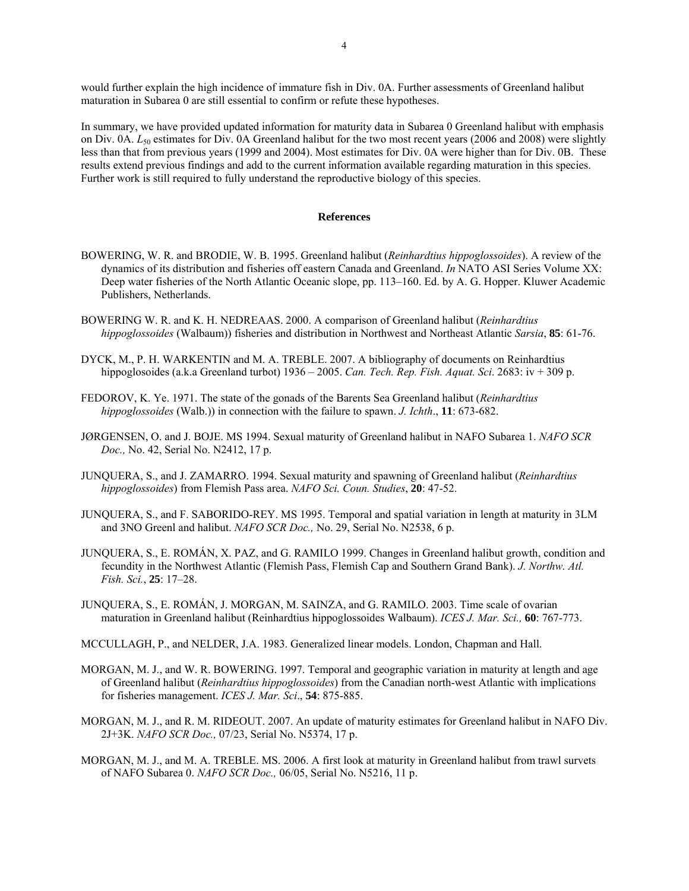would further explain the high incidence of immature fish in Div. 0A. Further assessments of Greenland halibut maturation in Subarea 0 are still essential to confirm or refute these hypotheses.

In summary, we have provided updated information for maturity data in Subarea 0 Greenland halibut with emphasis on Div. 0A. *L*50 estimates for Div. 0A Greenland halibut for the two most recent years (2006 and 2008) were slightly less than that from previous years (1999 and 2004). Most estimates for Div. 0A were higher than for Div. 0B. These results extend previous findings and add to the current information available regarding maturation in this species. Further work is still required to fully understand the reproductive biology of this species.

### **References**

- BOWERING, W. R. and BRODIE, W. B. 1995. Greenland halibut (*Reinhardtius hippoglossoides*). A review of the dynamics of its distribution and fisheries off eastern Canada and Greenland. *In* NATO ASI Series Volume XX: Deep water fisheries of the North Atlantic Oceanic slope, pp. 113–160. Ed. by A. G. Hopper. Kluwer Academic Publishers, Netherlands.
- BOWERING W. R. and K. H. NEDREAAS. 2000. A comparison of Greenland halibut (*Reinhardtius hippoglossoides* (Walbaum)) fisheries and distribution in Northwest and Northeast Atlantic *Sarsia*, **85**: 61-76.
- DYCK, M., P. H. WARKENTIN and M. A. TREBLE. 2007. A bibliography of documents on Reinhardtius hippoglosoides (a.k.a Greenland turbot) 1936 – 2005. *Can. Tech. Rep. Fish. Aquat. Sci*. 2683: iv + 309 p.
- FEDOROV, K. Ye. 1971. The state of the gonads of the Barents Sea Greenland halibut (*Reinhardtius hippoglossoides* (Walb.)) in connection with the failure to spawn. *J. Ichth*., **11**: 673-682.
- JØRGENSEN, O. and J. BOJE. MS 1994. Sexual maturity of Greenland halibut in NAFO Subarea 1. *NAFO SCR Doc.,* No. 42, Serial No. N2412, 17 p.
- JUNQUERA, S., and J. ZAMARRO. 1994. Sexual maturity and spawning of Greenland halibut (*Reinhardtius hippoglossoides*) from Flemish Pass area. *NAFO Sci. Coun. Studies*, **20**: 47-52.
- JUNQUERA, S., and F. SABORIDO-REY. MS 1995. Temporal and spatial variation in length at maturity in 3LM and 3NO Greenl and halibut. *NAFO SCR Doc.,* No. 29, Serial No. N2538, 6 p.
- JUNQUERA, S., E. ROMÁN, X. PAZ, and G. RAMILO 1999. Changes in Greenland halibut growth, condition and fecundity in the Northwest Atlantic (Flemish Pass, Flemish Cap and Southern Grand Bank). *J. Northw. Atl. Fish. Sci.*, **25**: 17–28.
- JUNQUERA, S., E. ROMÁN, J. MORGAN, M. SAINZA, and G. RAMILO. 2003. Time scale of ovarian maturation in Greenland halibut (Reinhardtius hippoglossoides Walbaum). *ICES J. Mar. Sci.,* **60**: 767-773.
- MCCULLAGH, P., and NELDER, J.A. 1983. Generalized linear models. London, Chapman and Hall.
- MORGAN, M. J., and W. R. BOWERING. 1997. Temporal and geographic variation in maturity at length and age of Greenland halibut (*Reinhardtius hippoglossoides*) from the Canadian north-west Atlantic with implications for fisheries management. *ICES J. Mar. Sci*., **54**: 875-885.
- MORGAN, M. J., and R. M. RIDEOUT. 2007. An update of maturity estimates for Greenland halibut in NAFO Div. 2J+3K. *NAFO SCR Doc.,* 07/23, Serial No. N5374, 17 p.
- MORGAN, M. J., and M. A. TREBLE. MS. 2006. A first look at maturity in Greenland halibut from trawl survets of NAFO Subarea 0. *NAFO SCR Doc.,* 06/05, Serial No. N5216, 11 p.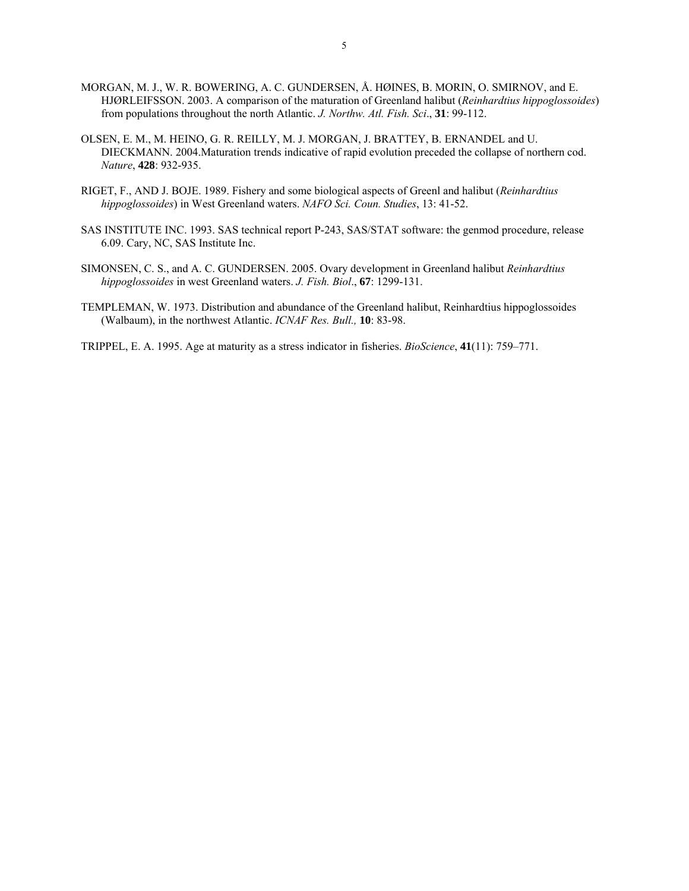- MORGAN, M. J., W. R. BOWERING, A. C. GUNDERSEN, Å. HØINES, B. MORIN, O. SMIRNOV, and E. HJØRLEIFSSON. 2003. A comparison of the maturation of Greenland halibut (*Reinhardtius hippoglossoides*) from populations throughout the north Atlantic. *J. Northw. Atl. Fish. Sci*., **31**: 99-112.
- OLSEN, E. M., M. HEINO, G. R. REILLY, M. J. MORGAN, J. BRATTEY, B. ERNANDEL and U. DIECKMANN. 2004.Maturation trends indicative of rapid evolution preceded the collapse of northern cod. *Nature*, **428**: 932-935.
- RIGET, F., AND J. BOJE. 1989. Fishery and some biological aspects of Greenl and halibut (*Reinhardtius hippoglossoides*) in West Greenland waters. *NAFO Sci. Coun. Studies*, 13: 41-52.
- SAS INSTITUTE INC. 1993. SAS technical report P-243, SAS/STAT software: the genmod procedure, release 6.09. Cary, NC, SAS Institute Inc.
- SIMONSEN, C. S., and A. C. GUNDERSEN. 2005. Ovary development in Greenland halibut *Reinhardtius hippoglossoides* in west Greenland waters. *J. Fish. Biol*., **67**: 1299-131.
- TEMPLEMAN, W. 1973. Distribution and abundance of the Greenland halibut, Reinhardtius hippoglossoides (Walbaum), in the northwest Atlantic. *ICNAF Res. Bull.,* **10**: 83-98.
- TRIPPEL, E. A. 1995. Age at maturity as a stress indicator in fisheries. *BioScience*, **41**(11): 759–771.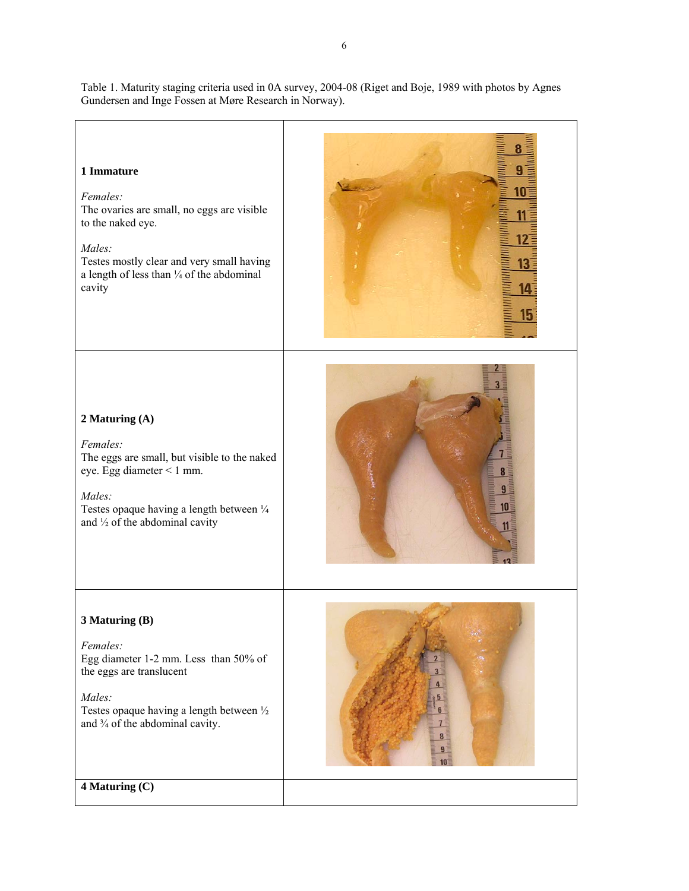Table 1. Maturity staging criteria used in 0A survey, 2004-08 (Riget and Boje, 1989 with photos by Agnes Gundersen and Inge Fossen at Møre Research in Norway).

 $\overline{\mathbf{R}}$ **1 Immature**  g  $10<sub>1</sub>$ *Females:*  The ovaries are small, no eggs are visible 11 to the naked eye. 12 *Males:*  Testes mostly clear and very small having  $13$ a length of less than ¼ of the abdominal cavity 14 15 **2 Maturing (A)**  *Females:*  The eggs are small, but visible to the naked eye. Egg diameter < 1 mm. 8  $9<sup>3</sup>$ *Males:*   $10<sub>1</sub>$ Testes opaque having a length between  $\frac{1}{4}$ and  $\frac{1}{2}$  of the abdominal cavity 11 **3 Maturing (B)**  *Females:*  Egg diameter 1-2 mm. Less than 50% of the eggs are translucent *Males:*  Testes opaque having a length between ½ and ¾ of the abdominal cavity.  $\overline{9}$  $10$ **4 Maturing (C)**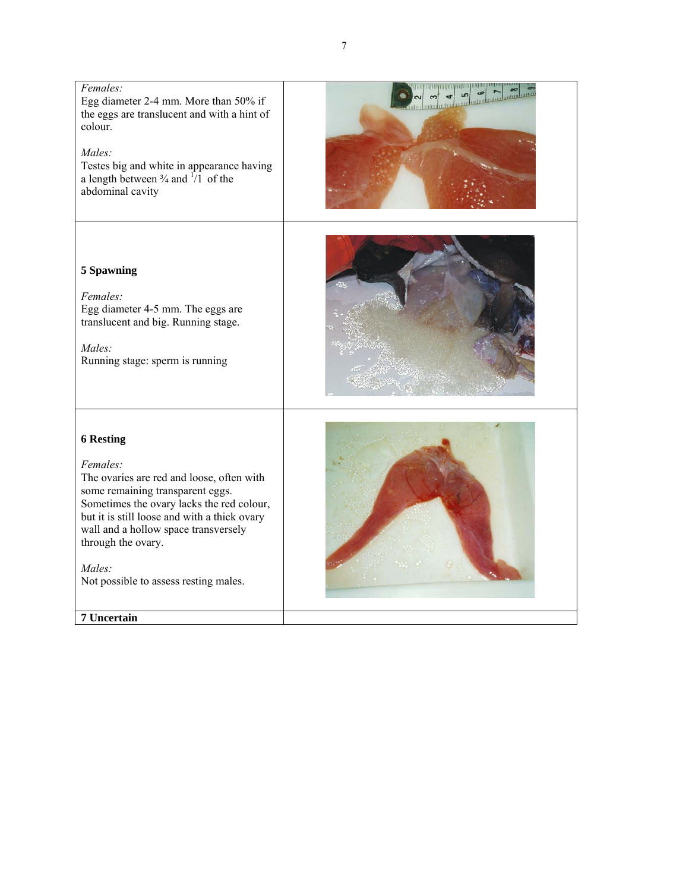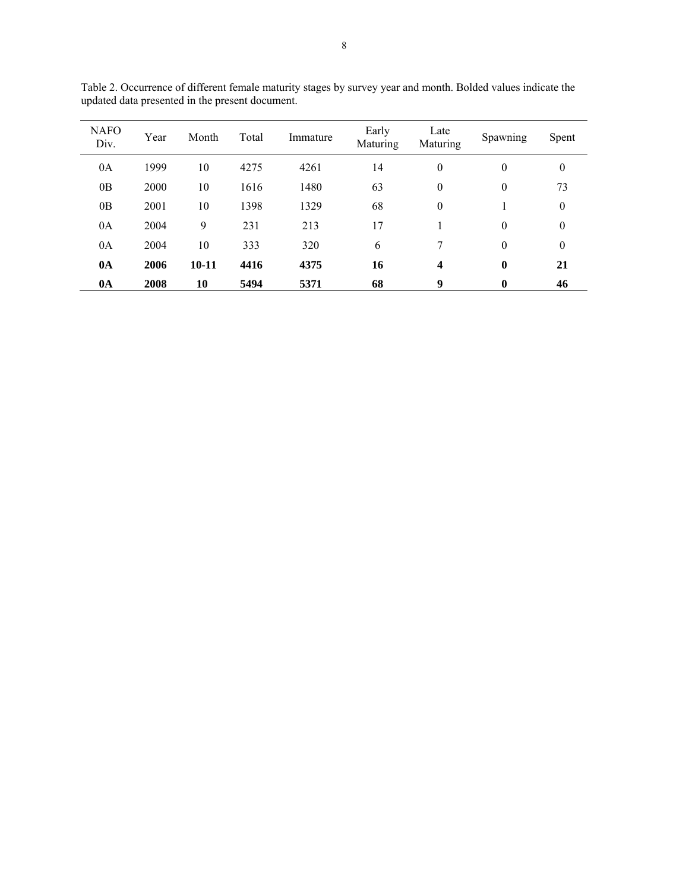| <b>NAFO</b><br>Div. | Year | Month   | Total | Immature | Early<br>Maturing | Late<br>Maturing | Spawning         | Spent        |
|---------------------|------|---------|-------|----------|-------------------|------------------|------------------|--------------|
| 0A                  | 1999 | 10      | 4275  | 4261     | 14                | $\theta$         | $\boldsymbol{0}$ | $\mathbf{0}$ |
| 0B                  | 2000 | 10      | 1616  | 1480     | 63                | $\mathbf{0}$     | $\boldsymbol{0}$ | 73           |
| 0 <sub>B</sub>      | 2001 | 10      | 1398  | 1329     | 68                | $\mathbf{0}$     |                  | $\mathbf{0}$ |
| 0A                  | 2004 | 9       | 231   | 213      | 17                |                  | $\boldsymbol{0}$ | $\mathbf{0}$ |
| 0A                  | 2004 | 10      | 333   | 320      | 6                 |                  | $\theta$         | $\mathbf{0}$ |
| 0A                  | 2006 | $10-11$ | 4416  | 4375     | 16                | 4                | $\bf{0}$         | 21           |
| 0A                  | 2008 | 10      | 5494  | 5371     | 68                | 9                | 0                | 46           |

Table 2. Occurrence of different female maturity stages by survey year and month. Bolded values indicate the updated data presented in the present document.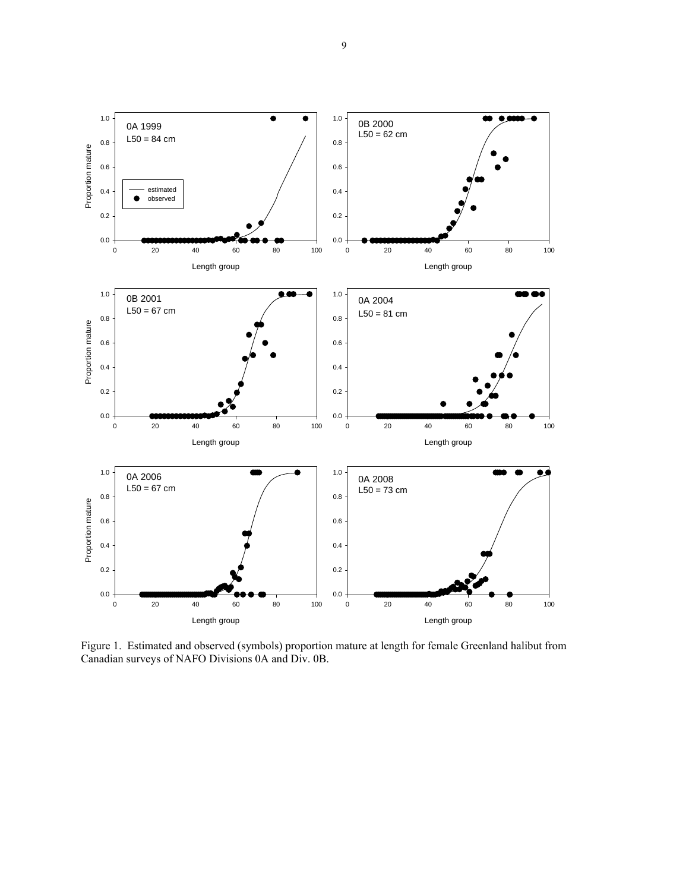

Figure 1. Estimated and observed (symbols) proportion mature at length for female Greenland halibut from Canadian surveys of NAFO Divisions 0A and Div. 0B.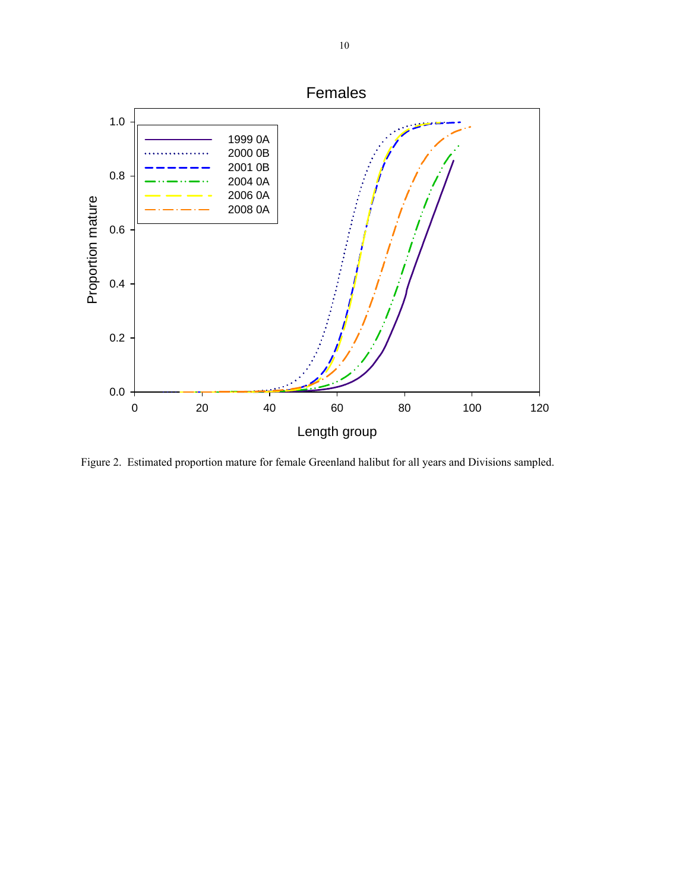

Figure 2. Estimated proportion mature for female Greenland halibut for all years and Divisions sampled.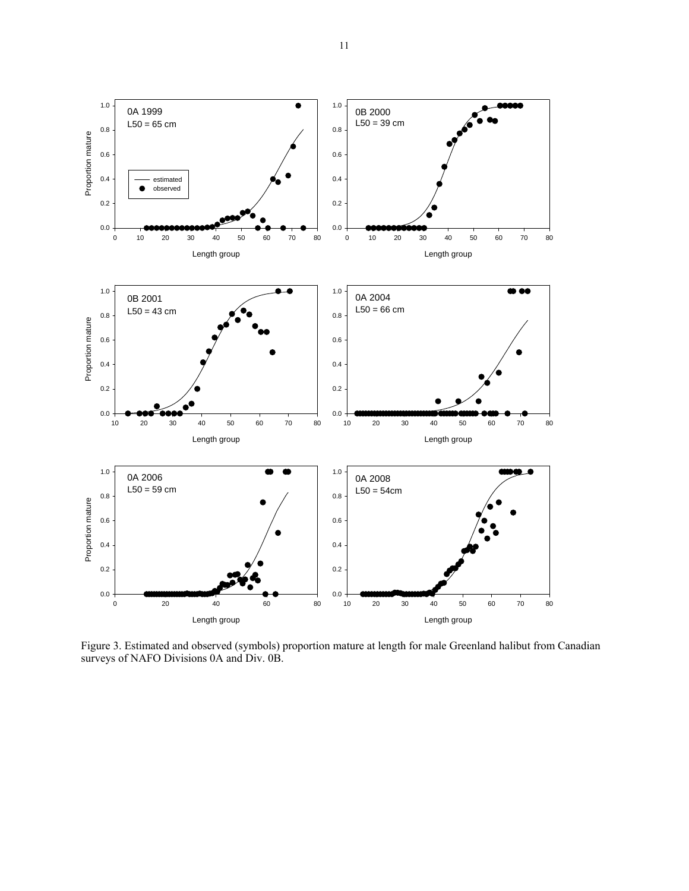

Figure 3. Estimated and observed (symbols) proportion mature at length for male Greenland halibut from Canadian surveys of NAFO Divisions 0A and Div. 0B.